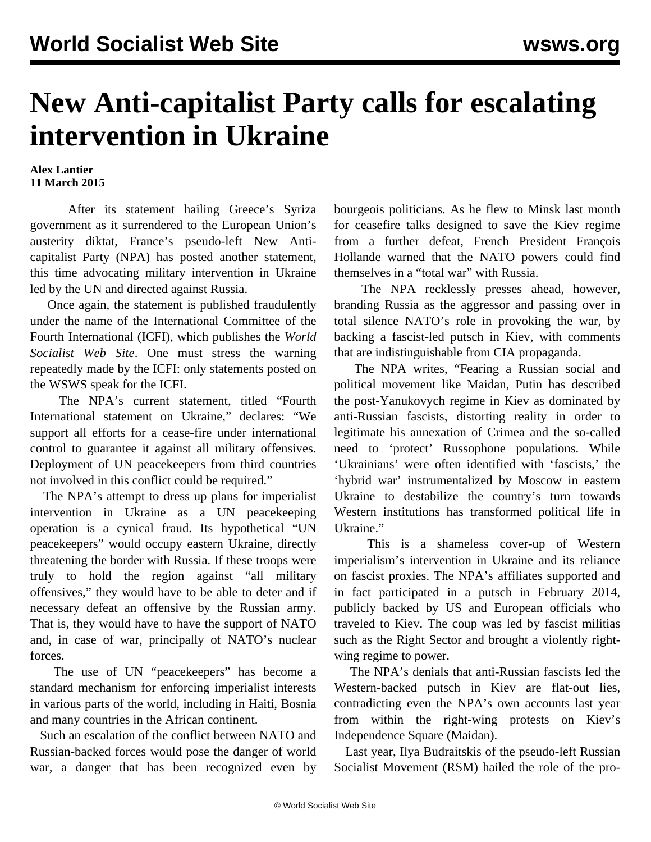## **New Anti-capitalist Party calls for escalating intervention in Ukraine**

**Alex Lantier 11 March 2015**

 After its statement [hailing](/en/articles/2015/03/03/usec-m03.html) Greece's Syriza government as it surrendered to the European Union's austerity diktat, France's pseudo-left New Anticapitalist Party (NPA) has posted another statement, this time advocating military intervention in Ukraine led by the UN and directed against Russia.

 Once again, the statement is published fraudulently under the name of the International Committee of the Fourth International (ICFI), which publishes the *World Socialist Web Site*. One must stress the warning [repeatedly](/en/articles/2014/03/03/pabl-m03.html) made by the ICFI: only statements posted on the WSWS speak for the ICFI.

 The NPA's current statement, titled "Fourth International statement on Ukraine," declares: "We support all efforts for a cease-fire under international control to guarantee it against all military offensives. Deployment of UN peacekeepers from third countries not involved in this conflict could be required."

 The NPA's attempt to dress up plans for imperialist intervention in Ukraine as a UN peacekeeping operation is a cynical fraud. Its hypothetical "UN peacekeepers" would occupy eastern Ukraine, directly threatening the border with Russia. If these troops were truly to hold the region against "all military offensives," they would have to be able to deter and if necessary defeat an offensive by the Russian army. That is, they would have to have the support of NATO and, in case of war, principally of NATO's nuclear forces.

 The use of UN "peacekeepers" has become a standard mechanism for enforcing imperialist interests in various parts of the world, including in Haiti, Bosnia and many countries in the African continent.

 Such an escalation of the conflict between NATO and Russian-backed forces would pose the danger of world war, a danger that has been recognized even by

bourgeois politicians. As he flew to Minsk last month for ceasefire talks designed to save the Kiev regime from a further defeat, French President François Hollande warned that the NATO powers could find themselves in a "total war" with Russia.

 The NPA recklessly presses ahead, however, branding Russia as the aggressor and passing over in total silence NATO's role in provoking the war, by backing a fascist-led putsch in Kiev, with comments that are indistinguishable from CIA propaganda.

 The NPA writes, "Fearing a Russian social and political movement like Maidan, Putin has described the post-Yanukovych regime in Kiev as dominated by anti-Russian fascists, distorting reality in order to legitimate his annexation of Crimea and the so-called need to 'protect' Russophone populations. While 'Ukrainians' were often identified with 'fascists,' the 'hybrid war' instrumentalized by Moscow in eastern Ukraine to destabilize the country's turn towards Western institutions has transformed political life in Ukraine."

 This is a shameless cover-up of Western imperialism's intervention in Ukraine and its reliance on fascist proxies. The NPA's affiliates supported and in fact participated in a putsch in February 2014, publicly backed by US and European officials who traveled to Kiev. The coup was led by fascist militias such as the Right Sector and brought a violently rightwing regime to power.

 The NPA's denials that anti-Russian fascists led the Western-backed putsch in Kiev are flat-out lies, [contradicting](/en/articles/2014/04/02/npau-a02.html) even the NPA's own accounts last year from within the right-wing protests on Kiev's Independence Square (Maidan).

 Last year, Ilya Budraitskis of the pseudo-left Russian Socialist Movement (RSM) hailed the role of the pro